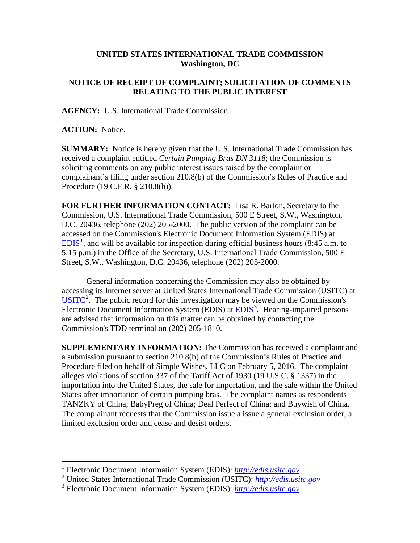## **UNITED STATES INTERNATIONAL TRADE COMMISSION Washington, DC**

## **NOTICE OF RECEIPT OF COMPLAINT; SOLICITATION OF COMMENTS RELATING TO THE PUBLIC INTEREST**

**AGENCY:** U.S. International Trade Commission.

**ACTION:** Notice.

**SUMMARY:** Notice is hereby given that the U.S. International Trade Commission has received a complaint entitled *Certain Pumping Bras DN 3118*; the Commission is soliciting comments on any public interest issues raised by the complaint or complainant's filing under section 210.8(b) of the Commission's Rules of Practice and Procedure (19 C.F.R. § 210.8(b)).

**FOR FURTHER INFORMATION CONTACT:** Lisa R. Barton, Secretary to the Commission, U.S. International Trade Commission, 500 E Street, S.W., Washington, D.C. 20436, telephone (202) 205-2000. The public version of the complaint can be accessed on the Commission's Electronic Document Information System (EDIS) at  $EDIS<sup>1</sup>$  $EDIS<sup>1</sup>$  $EDIS<sup>1</sup>$  $EDIS<sup>1</sup>$ , and will be available for inspection during official business hours (8:45 a.m. to 5:15 p.m.) in the Office of the Secretary, U.S. International Trade Commission, 500 E Street, S.W., Washington, D.C. 20436, telephone (202) 205-2000.

General information concerning the Commission may also be obtained by accessing its Internet server at United States International Trade Commission (USITC) at  $\overline{USTTC}^2$  $\overline{USTTC}^2$ . The public record for this investigation may be viewed on the Commission's Electronic Document Information System (EDIS) at **EDIS**<sup>[3](#page-0-2)</sup>. Hearing-impaired persons are advised that information on this matter can be obtained by contacting the Commission's TDD terminal on (202) 205-1810.

**SUPPLEMENTARY INFORMATION:** The Commission has received a complaint and a submission pursuant to section 210.8(b) of the Commission's Rules of Practice and Procedure filed on behalf of Simple Wishes, LLC on February 5, 2016. The complaint alleges violations of section 337 of the Tariff Act of 1930 (19 U.S.C. § 1337) in the importation into the United States, the sale for importation, and the sale within the United States after importation of certain pumping bras. The complaint names as respondents TANZKY of China; BabyPreg of China; Deal Perfect of China; and Buywish of China. The complainant requests that the Commission issue a issue a general exclusion order, a limited exclusion order and cease and desist orders.

 <sup>1</sup> Electronic Document Information System (EDIS): *[http://edis.usitc.gov](http://edis.usitc.gov/)*

<span id="page-0-1"></span><span id="page-0-0"></span><sup>2</sup> United States International Trade Commission (USITC): *[http://edis.usitc.gov](http://edis.usitc.gov/)*

<span id="page-0-2"></span><sup>3</sup> Electronic Document Information System (EDIS): *[http://edis.usitc.gov](http://edis.usitc.gov/)*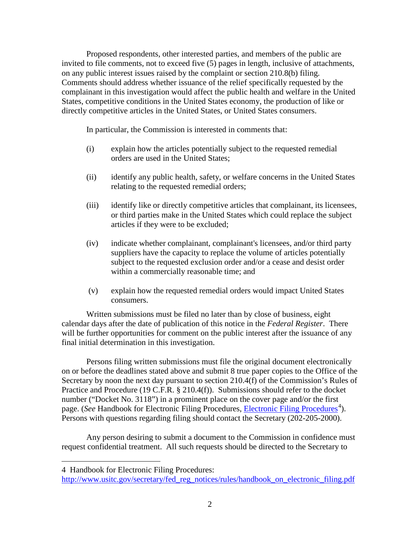Proposed respondents, other interested parties, and members of the public are invited to file comments, not to exceed five (5) pages in length, inclusive of attachments, on any public interest issues raised by the complaint or section 210.8(b) filing. Comments should address whether issuance of the relief specifically requested by the complainant in this investigation would affect the public health and welfare in the United States, competitive conditions in the United States economy, the production of like or directly competitive articles in the United States, or United States consumers.

In particular, the Commission is interested in comments that:

- (i) explain how the articles potentially subject to the requested remedial orders are used in the United States;
- (ii) identify any public health, safety, or welfare concerns in the United States relating to the requested remedial orders;
- (iii) identify like or directly competitive articles that complainant, its licensees, or third parties make in the United States which could replace the subject articles if they were to be excluded;
- (iv) indicate whether complainant, complainant's licensees, and/or third party suppliers have the capacity to replace the volume of articles potentially subject to the requested exclusion order and/or a cease and desist order within a commercially reasonable time; and
- (v) explain how the requested remedial orders would impact United States consumers.

Written submissions must be filed no later than by close of business, eight calendar days after the date of publication of this notice in the *Federal Register*. There will be further opportunities for comment on the public interest after the issuance of any final initial determination in this investigation.

Persons filing written submissions must file the original document electronically on or before the deadlines stated above and submit 8 true paper copies to the Office of the Secretary by noon the next day pursuant to section 210.4(f) of the Commission's Rules of Practice and Procedure (19 C.F.R. § 210.4(f)). Submissions should refer to the docket number ("Docket No. 3118") in a prominent place on the cover page and/or the first page. (*See* Handbook for [Electronic Filing Procedures](http://www.usitc.gov/secretary/fed_reg_notices/rules/handbook_on_electronic_filing.pdf), *Electronic Filing Procedures*<sup>[4](#page-1-0)</sup>). Persons with questions regarding filing should contact the Secretary (202-205-2000).

Any person desiring to submit a document to the Commission in confidence must request confidential treatment. All such requests should be directed to the Secretary to

 $\overline{a}$ 

<span id="page-1-0"></span><sup>4</sup> Handbook for Electronic Filing Procedures:

http://www.usitc.gov/secretary/fed\_reg\_notices/rules/handbook\_on\_electronic\_filing.pdf